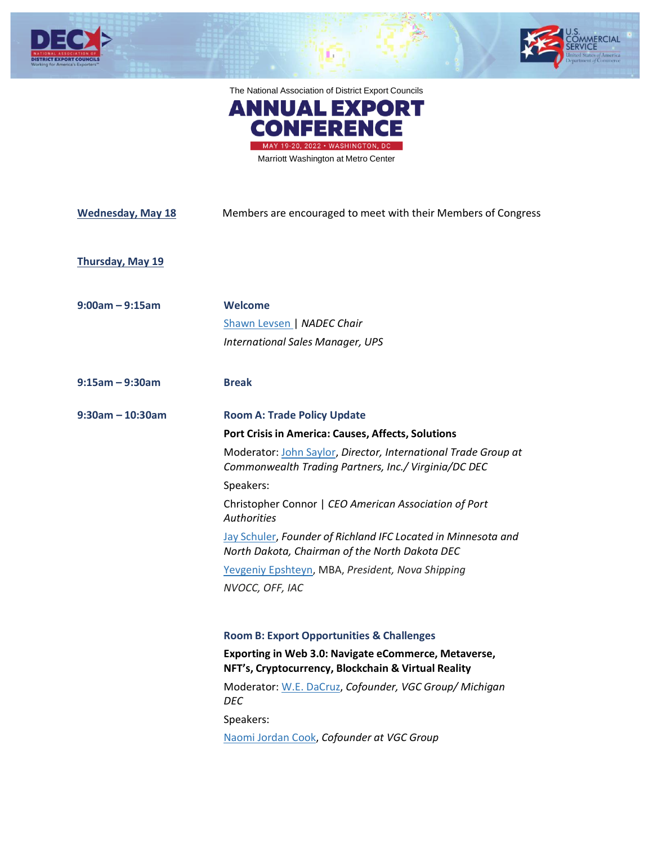





Marriott Washington at Metro Center

| <b>Wednesday, May 18</b> | Members are encouraged to meet with their Members of Congress                                                                                                                                                                                                                                         |
|--------------------------|-------------------------------------------------------------------------------------------------------------------------------------------------------------------------------------------------------------------------------------------------------------------------------------------------------|
| <b>Thursday, May 19</b>  |                                                                                                                                                                                                                                                                                                       |
| $9:00am - 9:15am$        | <b>Welcome</b><br>Shawn Levsen   NADEC Chair<br><b>International Sales Manager, UPS</b>                                                                                                                                                                                                               |
| $9:15$ am – 9:30am       | <b>Break</b>                                                                                                                                                                                                                                                                                          |
| $9:30$ am - 10:30am      | <b>Room A: Trade Policy Update</b>                                                                                                                                                                                                                                                                    |
|                          | Port Crisis in America: Causes, Affects, Solutions<br>Moderator: John Saylor, Director, International Trade Group at<br>Commonwealth Trading Partners, Inc./ Virginia/DC DEC                                                                                                                          |
|                          | Speakers:<br>Christopher Connor   CEO American Association of Port<br><b>Authorities</b>                                                                                                                                                                                                              |
|                          | Jay Schuler, Founder of Richland IFC Located in Minnesota and<br>North Dakota, Chairman of the North Dakota DEC                                                                                                                                                                                       |
|                          | Yevgeniy Epshteyn, MBA, President, Nova Shipping<br>NVOCC, OFF, IAC                                                                                                                                                                                                                                   |
|                          | <b>Room B: Export Opportunities &amp; Challenges</b><br>Exporting in Web 3.0: Navigate eCommerce, Metaverse,<br>NFT's, Cryptocurrency, Blockchain & Virtual Reality<br>Moderator: W.E. DaCruz, Cofounder, VGC Group/ Michigan<br><b>DEC</b><br>Speakers:<br>Naomi Jordan Cook, Cofounder at VGC Group |
|                          |                                                                                                                                                                                                                                                                                                       |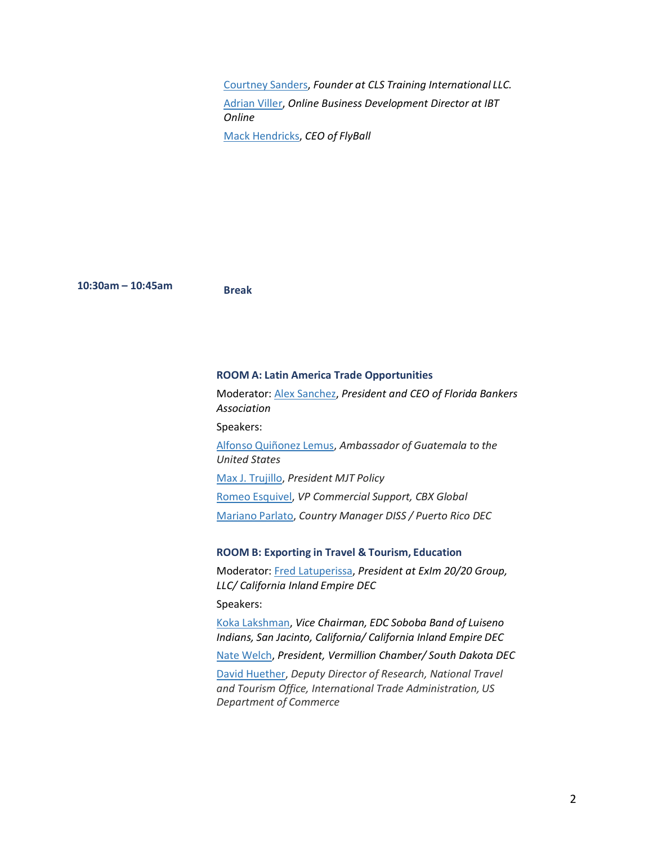[Courtney](https://www.linkedin.com/in/courtneylsanders/) Sanders, *Founder at CLS Training International LLC.* [Adrian Viller,](https://www.linkedin.com/in/adrianviller/) *Online Business Development Director at IBT Online* [Mack Hendricks,](https://www.facebook.com/mackhendricks) *CEO of FlyBall*

**10:30am – 10:45am Break**

#### **ROOM A: Latin America Trade Opportunities**

Moderator: [Alex Sanchez,](https://www.linkedin.com/in/alex-sanchez-4452a314/) *President and CEO of Florida Bankers Association*

Speakers:

Alfonso [Quiñonez](https://estadosunidos.minex.gob.gt/) Lemus, *Ambassador of Guatemala to the United States*

Max J. [Trujillo,](https://www.linkedin.com/in/maxjtrujillo) *President MJT Policy*

Romeo [Esquivel,](https://www.linkedin.com/in/romeoesquivel) *VP Commercial Support, CBX Global*

[Mariano](https://www.linkedin.com/in/mariano-parlato) Parlato, *Country Manager DISS / Puerto Rico DEC*

#### **ROOM B: Exporting in Travel & Tourism, Education**

Moderator: [Fred Latuperissa,](https://www.linkedin.com/in/fred-latuperissa-b975491/) *President at ExIm 20/20 Group, LLC/ California Inland Empire DEC*

Speakers:

Koka [Lakshman,](https://www.linkedin.com/in/koka-lakshman-4a0b7a9/) *Vice Chairman, EDC Soboba Band of Luiseno Indians, San Jacinto, California/ California Inland Empire DEC*

Nate [Welch,](https://www.linkedin.com/in/natewelchsd/) *President, Vermillion Chamber/ South Dakota DEC*

[David Huether,](https://www.linkedin.com/in/dave-huether-1aa48756/) *Deputy Director of Research, National Travel and Tourism Office, International Trade Administration, US Department of Commerce*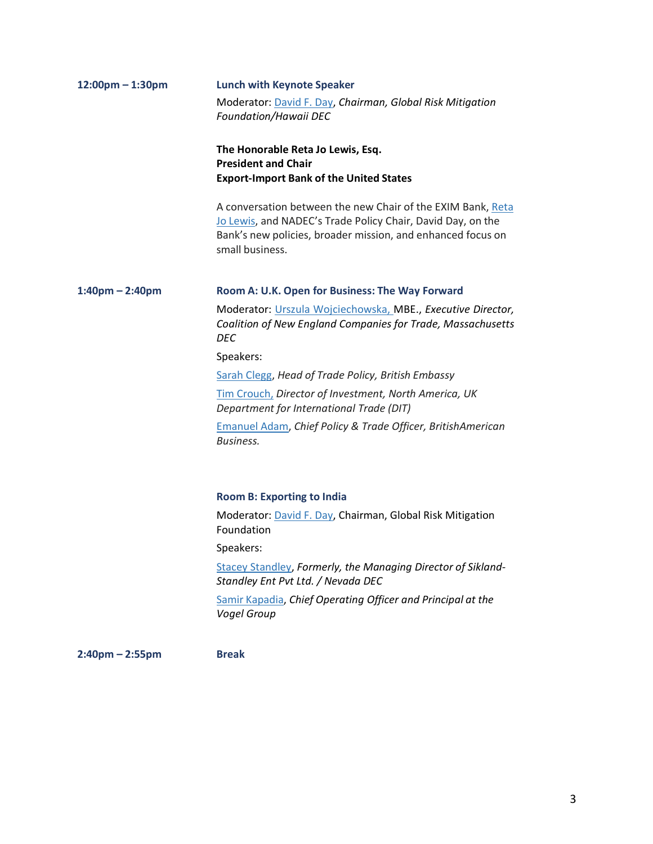| $12:00$ pm - 1:30pm | <b>Lunch with Keynote Speaker</b>                                                                                                                                                                            |  |
|---------------------|--------------------------------------------------------------------------------------------------------------------------------------------------------------------------------------------------------------|--|
|                     | Moderator: David F. Day, Chairman, Global Risk Mitigation<br>Foundation/Hawaii DEC                                                                                                                           |  |
|                     | The Honorable Reta Jo Lewis, Esq.<br><b>President and Chair</b><br><b>Export-Import Bank of the United States</b>                                                                                            |  |
|                     | A conversation between the new Chair of the EXIM Bank, Reta<br>Jo Lewis, and NADEC's Trade Policy Chair, David Day, on the<br>Bank's new policies, broader mission, and enhanced focus on<br>small business. |  |
| $1:40$ pm – 2:40pm  | Room A: U.K. Open for Business: The Way Forward                                                                                                                                                              |  |
|                     | Moderator: Urszula Wojciechowska, MBE., Executive Director,<br>Coalition of New England Companies for Trade, Massachusetts<br><b>DEC</b>                                                                     |  |
|                     | Speakers:                                                                                                                                                                                                    |  |
|                     | Sarah Clegg, Head of Trade Policy, British Embassy                                                                                                                                                           |  |
|                     | Tim Crouch, Director of Investment, North America, UK<br>Department for International Trade (DIT)                                                                                                            |  |
|                     | <b>Emanuel Adam, Chief Policy &amp; Trade Officer, BritishAmerican</b><br>Business.                                                                                                                          |  |
|                     | <b>Room B: Exporting to India</b>                                                                                                                                                                            |  |
|                     | Moderator: David F. Day, Chairman, Global Risk Mitigation<br>Foundation                                                                                                                                      |  |
|                     | Speakers:                                                                                                                                                                                                    |  |
|                     | <b>Stacey Standley, Formerly, the Managing Director of Sikland-</b><br>Standley Ent Pvt Ltd. / Nevada DEC                                                                                                    |  |
|                     | Samir Kapadia, Chief Operating Officer and Principal at the<br>Vogel Group                                                                                                                                   |  |
| $2:40$ pm – 2:55pm  | <b>Break</b>                                                                                                                                                                                                 |  |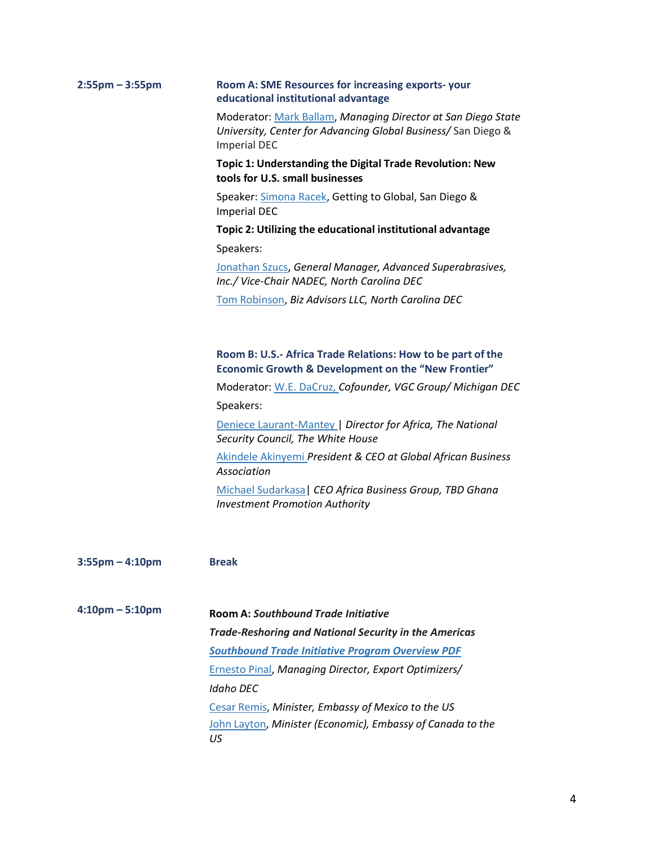| $2:55$ pm – 3:55pm   | Room A: SME Resources for increasing exports-your<br>educational institutional advantage<br>Moderator: Mark Ballam, Managing Director at San Diego State<br>University, Center for Advancing Global Business/ San Diego &<br><b>Imperial DEC</b> |  |  |
|----------------------|--------------------------------------------------------------------------------------------------------------------------------------------------------------------------------------------------------------------------------------------------|--|--|
|                      |                                                                                                                                                                                                                                                  |  |  |
|                      | Topic 1: Understanding the Digital Trade Revolution: New<br>tools for U.S. small businesses                                                                                                                                                      |  |  |
|                      | Speaker: Simona Racek, Getting to Global, San Diego &<br><b>Imperial DEC</b>                                                                                                                                                                     |  |  |
|                      | Topic 2: Utilizing the educational institutional advantage                                                                                                                                                                                       |  |  |
|                      | Speakers:                                                                                                                                                                                                                                        |  |  |
|                      | Jonathan Szucs, General Manager, Advanced Superabrasives,<br>Inc./ Vice-Chair NADEC, North Carolina DEC                                                                                                                                          |  |  |
|                      | Tom Robinson, Biz Advisors LLC, North Carolina DEC                                                                                                                                                                                               |  |  |
|                      |                                                                                                                                                                                                                                                  |  |  |
|                      | Room B: U.S.- Africa Trade Relations: How to be part of the<br><b>Economic Growth &amp; Development on the "New Frontier"</b>                                                                                                                    |  |  |
|                      | Moderator: W.E. DaCruz, Cofounder, VGC Group/ Michigan DEC                                                                                                                                                                                       |  |  |
|                      | Speakers:                                                                                                                                                                                                                                        |  |  |
|                      | Deniece Laurant-Mantey   Director for Africa, The National<br>Security Council, The White House                                                                                                                                                  |  |  |
|                      | Akindele Akinyemi President & CEO at Global African Business<br>Association                                                                                                                                                                      |  |  |
|                      | Michael Sudarkasa   CEO Africa Business Group, TBD Ghana<br><b>Investment Promotion Authority</b>                                                                                                                                                |  |  |
|                      |                                                                                                                                                                                                                                                  |  |  |
| $3:55$ pm $-4:10$ pm | <b>Break</b>                                                                                                                                                                                                                                     |  |  |
| $4:10pm - 5:10pm$    | <b>Room A: Southbound Trade Initiative</b>                                                                                                                                                                                                       |  |  |
|                      | <b>Trade-Reshoring and National Security in the Americas</b>                                                                                                                                                                                     |  |  |
|                      | <b>Southbound Trade Initiative Program Overview PDF</b>                                                                                                                                                                                          |  |  |
|                      | Ernesto Pinal, Managing Director, Export Optimizers/                                                                                                                                                                                             |  |  |
|                      | Idaho DEC                                                                                                                                                                                                                                        |  |  |
|                      | Cesar Remis, Minister, Embassy of Mexico to the US                                                                                                                                                                                               |  |  |
|                      | John Layton, Minister (Economic), Embassy of Canada to the<br>US                                                                                                                                                                                 |  |  |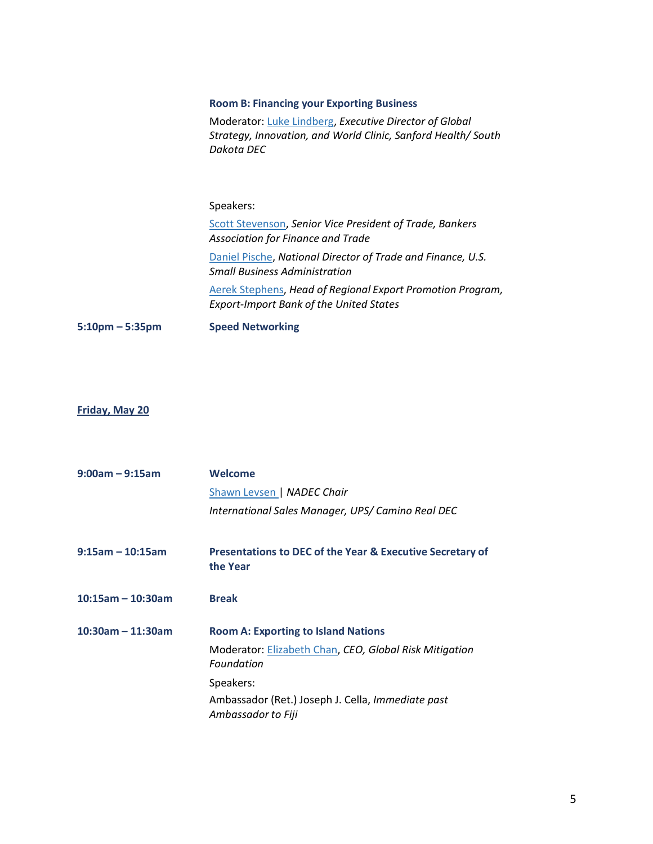# **Room B: Financing your Exporting Business**

Moderator[: Luke Lindberg,](https://www.linkedin.com/in/lukejlindberg/) *Executive Director of Global Strategy, Innovation, and World Clinic, Sanford Health/ South Dakota DEC*

# Speakers:

[Scott Stevenson,](https://www.linkedin.com/in/h-scott-stevenson-a30a5127/) *Senior Vice President of Trade, Bankers Association for Finance and Trade* [Daniel Pische,](https://www.linkedin.com/in/dpische/) *National Director of Trade and Finance, U.S. Small Business Administration* Aerek [Stephens,](https://www.linkedin.com/in/a%C3%A9rek-stephens-13b7503/) *Head of Regional Export Promotion Program, Export-Import Bank of the United States*

**5:10pm – 5:35pm Speed Networking**

## **Friday, May 20**

| $9:00am - 9:15am$    | Welcome                                                                 |  |
|----------------------|-------------------------------------------------------------------------|--|
|                      | Shawn Levsen   NADEC Chair                                              |  |
|                      | International Sales Manager, UPS/ Camino Real DEC                       |  |
| $9:15$ am - 10:15am  | Presentations to DEC of the Year & Executive Secretary of<br>the Year   |  |
| $10:15$ am - 10:30am | <b>Break</b>                                                            |  |
| $10:30$ am - 11:30am | <b>Room A: Exporting to Island Nations</b>                              |  |
|                      | Moderator: Elizabeth Chan, CEO, Global Risk Mitigation<br>Foundation    |  |
|                      | Speakers:                                                               |  |
|                      | Ambassador (Ret.) Joseph J. Cella, Immediate past<br>Ambassador to Fiji |  |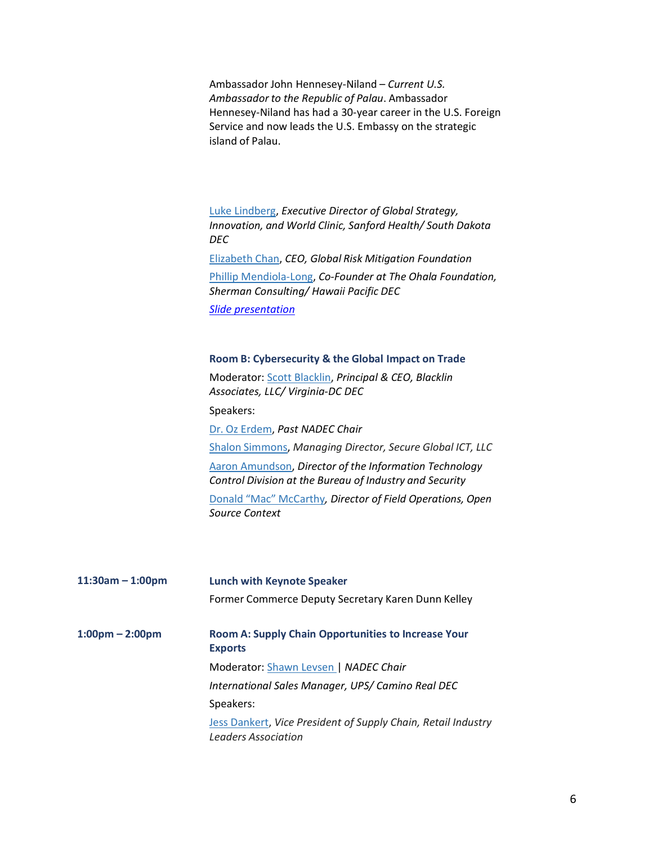Ambassador John Hennesey-Niland – *Current U.S. Ambassador to the Republic of Palau*. Ambassador Hennesey-Niland has had a 30-year career in the U.S. Foreign Service and now leads the U.S. Embassy on the strategic island of Palau.

[Luke Lindberg,](https://www.linkedin.com/in/lukejlindberg/) *Executive Director of Global Strategy, Innovation, and World Clinic, Sanford Health/ South Dakota DEC* [Elizabeth](https://www.linkedin.com/in/elizabethgchan/) Chan, *CEO, Global Risk Mitigation Foundation* [Phillip Mendiola-Long,](https://www.linkedin.com/in/asiapacific/) *Co-Founder at The Ohala Foundation, Sherman Consulting/ Hawaii Pacific DEC*

*[Slide presentation](https://usaexporter-my.sharepoint.com/:p:/g/personal/nadec_usaexporter_org/EfiOz6oHkTdHgh_3C2CeZM8BpRS6xXDPk9Xrjf0FwsHqaw?e=Aq90mK)*

### **Room B: Cybersecurity & the Global Impact on Trade**

Moderator[: Scott Blacklin,](https://www.linkedin.com/in/scottblacklin/) *Principal & CEO, Blacklin Associates, LLC/ Virginia-DC DEC*

Speakers:

Dr. Oz [Erdem,](https://www.linkedin.com/in/drozkanerdem/) *Past NADEC Chair* Shalon [Simmons,](https://www.linkedin.com/in/shalon-simmons-cissp-a25ab75/) *Managing Director, Secure Global ICT, LLC*

Aaron [Amundson,](https://www.linkedin.com/in/aaron-amundson-116ab65/) *Director of the Information Technology Control Division at the Bureau of Industry and Security*

Donald "Mac" [McCarthy](https://www.linkedin.com/in/donald-mccarthy-873018108/)*, Director of Field Operations, Open Source Context*

| $11:30am - 1:00pm$                | <b>Lunch with Keynote Speaker</b>                                                    |  |
|-----------------------------------|--------------------------------------------------------------------------------------|--|
|                                   | Former Commerce Deputy Secretary Karen Dunn Kelley                                   |  |
| $1:00 \text{pm} - 2:00 \text{pm}$ | <b>Room A: Supply Chain Opportunities to Increase Your</b><br><b>Exports</b>         |  |
|                                   | Moderator: Shawn Levsen   NADEC Chair                                                |  |
|                                   | International Sales Manager, UPS/ Camino Real DEC                                    |  |
|                                   | Speakers:                                                                            |  |
|                                   | Jess Dankert, Vice President of Supply Chain, Retail Industry<br>Leaders Association |  |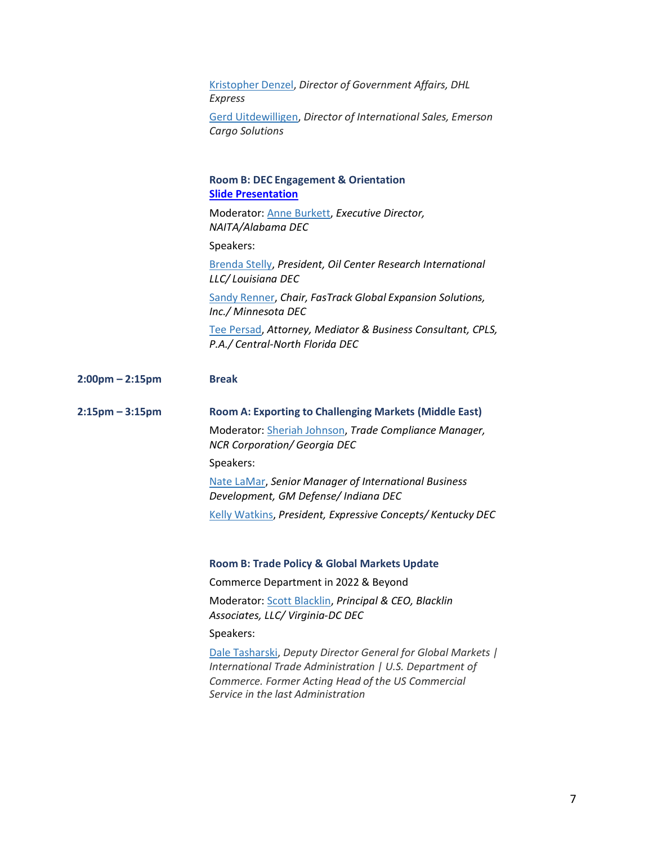| Kristopher Denzel, Director of Government Affairs, DHL<br>Express               |
|---------------------------------------------------------------------------------|
| Gerd Uitdewilligen, Director of International Sales, Emerson<br>Cargo Solutions |
| <b>Room B: DEC Engagement &amp; Orientation</b><br><b>Slide Presentation</b>    |
| Moderator: Anne Burkett, Executive Director,<br>NAITA/Alabama DEC               |
| Speakers:                                                                       |

[Brenda Stelly,](https://www.linkedin.com/in/brenda-stelly-71366823/) *President, Oil Center Research International LLC/ Louisiana DEC*

Sandy [Renner,](https://www.linkedin.com/in/sandralrennergra/) *Chair, FasTrack Global Expansion Solutions, Inc./ Minnesota DEC*

[Tee Persad,](https://www.linkedin.com/in/tee-persad-59b17b17/) *Attorney, Mediator & Business Consultant, CPLS, P.A./ Central-North Florida DEC*

- **2:00pm – 2:15pm Break**
- **2:15pm – 3:15pm Room A: Exporting to Challenging Markets (Middle East)** Moderator[: Sheriah Johnson,](https://www.linkedin.com/in/sheriah-johnson-mba-6746217/) *Trade Compliance Manager, NCR Corporation/ Georgia DEC* Speakers: [Nate LaMar,](https://www.linkedin.com/in/nate-lamar-mba-8742038/) *Senior Manager of International Business Development, GM Defense/ Indiana DEC*

Kelly [Watkins,](https://www.linkedin.com/in/kellywatkins/) *President, Expressive Concepts/ Kentucky DEC*

### **Room B: Trade Policy & Global Markets Update**

Commerce Department in 2022 & Beyond

Moderator[: Scott Blacklin,](https://www.linkedin.com/in/scottblacklin/) *Principal & CEO, Blacklin Associates, LLC/ Virginia-DC DEC*

Speakers:

[Dale Tasharski,](https://www.linkedin.com/in/dale-tasharski-8394b29a/) *Deputy Director General for Global Markets | International Trade Administration | U.S. Department of Commerce. Former Acting Head of the US Commercial Service in the last Administration*